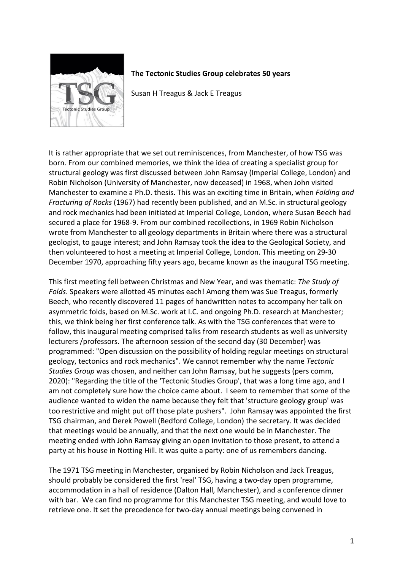

## **The Tectonic Studies Group celebrates 50 years**

Susan H Treagus & Jack E Treagus

It is rather appropriate that we set out reminiscences, from Manchester, of how TSG was born. From our combined memories, we think the idea of creating a specialist group for structural geology was first discussed between John Ramsay (Imperial College, London) and Robin Nicholson (University of Manchester, now deceased) in 1968, when John visited Manchester to examine a Ph.D. thesis. This was an exciting time in Britain, when *Folding and Fracturing of Rocks* (1967) had recently been published, and an M.Sc. in structural geology and rock mechanics had been initiated at Imperial College, London, where Susan Beech had secured a place for 1968-9. From our combined recollections, in 1969 Robin Nicholson wrote from Manchester to all geology departments in Britain where there was a structural geologist, to gauge interest; and John Ramsay took the idea to the Geological Society, and then volunteered to host a meeting at Imperial College, London. This meeting on 29-30 December 1970, approaching fifty years ago, became known as the inaugural TSG meeting.

This first meeting fell between Christmas and New Year, and was thematic: *The Study of Folds*. Speakers were allotted 45 minutes each! Among them was Sue Treagus, formerly Beech, who recently discovered 11 pages of handwritten notes to accompany her talk on asymmetric folds, based on M.Sc. work at I.C. and ongoing Ph.D. research at Manchester; this, we think being her first conference talk. As with the TSG conferences that were to follow, this inaugural meeting comprised talks from research students as well as university lecturers /professors. The afternoon session of the second day (30 December) was programmed: "Open discussion on the possibility of holding regular meetings on structural geology, tectonics and rock mechanics". We cannot remember why the name *Tectonic Studies Group* was chosen, and neither can John Ramsay, but he suggests (pers comm, 2020): "Regarding the title of the 'Tectonic Studies Group', that was a long time ago, and I am not completely sure how the choice came about. I seem to remember that some of the audience wanted to widen the name because they felt that 'structure geology group' was too restrictive and might put off those plate pushers". John Ramsay was appointed the first TSG chairman, and Derek Powell (Bedford College, London) the secretary. It was decided that meetings would be annually, and that the next one would be in Manchester. The meeting ended with John Ramsay giving an open invitation to those present, to attend a party at his house in Notting Hill. It was quite a party: one of us remembers dancing.

The 1971 TSG meeting in Manchester, organised by Robin Nicholson and Jack Treagus, should probably be considered the first 'real' TSG, having a two-day open programme, accommodation in a hall of residence (Dalton Hall, Manchester), and a conference dinner with bar. We can find no programme for this Manchester TSG meeting, and would love to retrieve one. It set the precedence for two-day annual meetings being convened in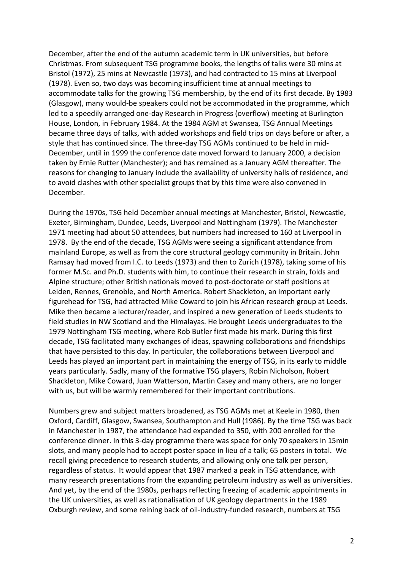December, after the end of the autumn academic term in UK universities, but before Christmas*.* From subsequent TSG programme books, the lengths of talks were 30 mins at Bristol (1972), 25 mins at Newcastle (1973), and had contracted to 15 mins at Liverpool (1978). Even so, two days was becoming insufficient time at annual meetings to accommodate talks for the growing TSG membership, by the end of its first decade. By 1983 (Glasgow), many would-be speakers could not be accommodated in the programme, which led to a speedily arranged one-day Research in Progress (overflow) meeting at Burlington House, London, in February 1984. At the 1984 AGM at Swansea, TSG Annual Meetings became three days of talks, with added workshops and field trips on days before or after, a style that has continued since. The three-day TSG AGMs continued to be held in mid-December, until in 1999 the conference date moved forward to January 2000, a decision taken by Ernie Rutter (Manchester); and has remained as a January AGM thereafter. The reasons for changing to January include the availability of university halls of residence, and to avoid clashes with other specialist groups that by this time were also convened in December.

During the 1970s, TSG held December annual meetings at Manchester, Bristol, Newcastle, Exeter, Birmingham, Dundee, Leeds, Liverpool and Nottingham (1979). The Manchester 1971 meeting had about 50 attendees, but numbers had increased to 160 at Liverpool in 1978. By the end of the decade, TSG AGMs were seeing a significant attendance from mainland Europe, as well as from the core structural geology community in Britain. John Ramsay had moved from I.C. to Leeds (1973) and then to Zurich (1978), taking some of his former M.Sc. and Ph.D. students with him, to continue their research in strain, folds and Alpine structure; other British nationals moved to post-doctorate or staff positions at Leiden, Rennes, Grenoble, and North America. Robert Shackleton, an important early figurehead for TSG, had attracted Mike Coward to join his African research group at Leeds. Mike then became a lecturer/reader, and inspired a new generation of Leeds students to field studies in NW Scotland and the Himalayas. He brought Leeds undergraduates to the 1979 Nottingham TSG meeting, where Rob Butler first made his mark. During this first decade, TSG facilitated many exchanges of ideas, spawning collaborations and friendships that have persisted to this day. In particular, the collaborations between Liverpool and Leeds has played an important part in maintaining the energy of TSG, in its early to middle years particularly. Sadly, many of the formative TSG players, Robin Nicholson, Robert Shackleton, Mike Coward, Juan Watterson, Martin Casey and many others, are no longer with us, but will be warmly remembered for their important contributions.

Numbers grew and subject matters broadened, as TSG AGMs met at Keele in 1980, then Oxford, Cardiff, Glasgow, Swansea, Southampton and Hull (1986). By the time TSG was back in Manchester in 1987, the attendance had expanded to 350, with 200 enrolled for the conference dinner. In this 3-day programme there was space for only 70 speakers in 15min slots, and many people had to accept poster space in lieu of a talk; 65 posters in total. We recall giving precedence to research students, and allowing only one talk per person, regardless of status. It would appear that 1987 marked a peak in TSG attendance, with many research presentations from the expanding petroleum industry as well as universities. And yet, by the end of the 1980s, perhaps reflecting freezing of academic appointments in the UK universities, as well as rationalisation of UK geology departments in the 1989 Oxburgh review, and some reining back of oil-industry-funded research, numbers at TSG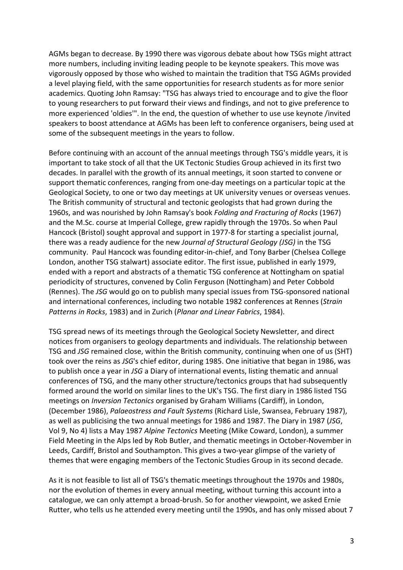AGMs began to decrease. By 1990 there was vigorous debate about how TSGs might attract more numbers, including inviting leading people to be keynote speakers. This move was vigorously opposed by those who wished to maintain the tradition that TSG AGMs provided a level playing field, with the same opportunities for research students as for more senior academics. Quoting John Ramsay: "TSG has always tried to encourage and to give the floor to young researchers to put forward their views and findings, and not to give preference to more experienced 'oldies'". In the end, the question of whether to use use keynote /invited speakers to boost attendance at AGMs has been left to conference organisers, being used at some of the subsequent meetings in the years to follow.

Before continuing with an account of the annual meetings through TSG's middle years, it is important to take stock of all that the UK Tectonic Studies Group achieved in its first two decades. In parallel with the growth of its annual meetings, it soon started to convene or support thematic conferences, ranging from one-day meetings on a particular topic at the Geological Society, to one or two day meetings at UK university venues or overseas venues. The British community of structural and tectonic geologists that had grown during the 1960s, and was nourished by John Ramsay's book *Folding and Fracturing of Rocks* (1967) and the M.Sc. course at Imperial College, grew rapidly through the 1970s. So when Paul Hancock (Bristol) sought approval and support in 1977-8 for starting a specialist journal, there was a ready audience for the new *Journal of Structural Geology (JSG)* in the TSG community. Paul Hancock was founding editor-in-chief, and Tony Barber (Chelsea College London, another TSG stalwart) associate editor. The first issue, published in early 1979, ended with a report and abstracts of a thematic TSG conference at Nottingham on spatial periodicity of structures, convened by Colin Ferguson (Nottingham) and Peter Cobbold (Rennes). The *JSG* would go on to publish many special issues from TSG-sponsored national and international conferences, including two notable 1982 conferences at Rennes (*Strain Patterns in Rocks*, 1983) and in Zurich (*Planar and Linear Fabrics*, 1984).

TSG spread news of its meetings through the Geological Society Newsletter, and direct notices from organisers to geology departments and individuals. The relationship between TSG and *JSG* remained close, within the British community, continuing when one of us (SHT) took over the reins as *JSG*'s chief editor, during 1985. One initiative that began in 1986, was to publish once a year in *JSG* a Diary of international events, listing thematic and annual conferences of TSG, and the many other structure/tectonics groups that had subsequently formed around the world on similar lines to the UK's TSG. The first diary in 1986 listed TSG meetings on *Inversion Tectonics* organised by Graham Williams (Cardiff), in London, (December 1986), *Palaeostress and Fault Systems* (Richard Lisle, Swansea, February 1987), as well as publicising the two annual meetings for 1986 and 1987. The Diary in 1987 (*JSG*, Vol 9, No 4) lists a May 1987 *Alpine Tectonics* Meeting (Mike Coward, London), a summer Field Meeting in the Alps led by Rob Butler, and thematic meetings in October-November in Leeds, Cardiff, Bristol and Southampton. This gives a two-year glimpse of the variety of themes that were engaging members of the Tectonic Studies Group in its second decade.

As it is not feasible to list all of TSG's thematic meetings throughout the 1970s and 1980s, nor the evolution of themes in every annual meeting, without turning this account into a catalogue, we can only attempt a broad-brush. So for another viewpoint, we asked Ernie Rutter, who tells us he attended every meeting until the 1990s, and has only missed about 7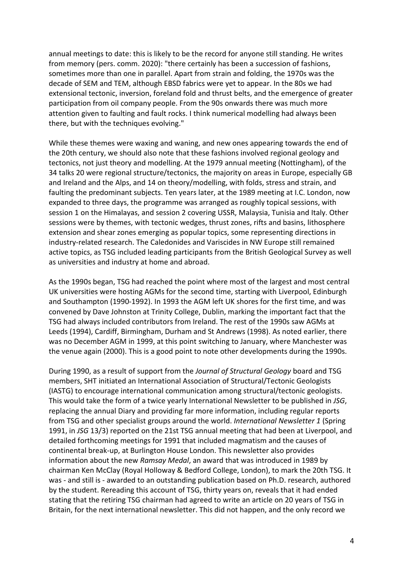annual meetings to date: this is likely to be the record for anyone still standing. He writes from memory (pers. comm. 2020): "there certainly has been a succession of fashions, sometimes more than one in parallel. Apart from strain and folding, the 1970s was the decade of SEM and TEM, although EBSD fabrics were yet to appear. In the 80s we had extensional tectonic, inversion, foreland fold and thrust belts, and the emergence of greater participation from oil company people. From the 90s onwards there was much more attention given to faulting and fault rocks. I think numerical modelling had always been there, but with the techniques evolving."

While these themes were waxing and waning, and new ones appearing towards the end of the 20th century, we should also note that these fashions involved regional geology and tectonics, not just theory and modelling. At the 1979 annual meeting (Nottingham), of the 34 talks 20 were regional structure/tectonics, the majority on areas in Europe, especially GB and Ireland and the Alps, and 14 on theory/modelling, with folds, stress and strain, and faulting the predominant subjects. Ten years later, at the 1989 meeting at I.C. London, now expanded to three days, the programme was arranged as roughly topical sessions, with session 1 on the Himalayas, and session 2 covering USSR, Malaysia, Tunisia and Italy. Other sessions were by themes, with tectonic wedges, thrust zones, rifts and basins, lithosphere extension and shear zones emerging as popular topics, some representing directions in industry-related research. The Caledonides and Variscides in NW Europe still remained active topics, as TSG included leading participants from the British Geological Survey as well as universities and industry at home and abroad.

As the 1990s began, TSG had reached the point where most of the largest and most central UK universities were hosting AGMs for the second time, starting with Liverpool, Edinburgh and Southampton (1990-1992). In 1993 the AGM left UK shores for the first time, and was convened by Dave Johnston at Trinity College, Dublin, marking the important fact that the TSG had always included contributors from Ireland. The rest of the 1990s saw AGMs at Leeds (1994), Cardiff, Birmingham, Durham and St Andrews (1998). As noted earlier, there was no December AGM in 1999, at this point switching to January, where Manchester was the venue again (2000). This is a good point to note other developments during the 1990s.

During 1990, as a result of support from the *Journal of Structural Geology* board and TSG members, SHT initiated an International Association of Structural/Tectonic Geologists (IASTG) to encourage international communication among structural/tectonic geologists. This would take the form of a twice yearly International Newsletter to be published in *JSG*, replacing the annual Diary and providing far more information, including regular reports from TSG and other specialist groups around the world. *International Newsletter 1* (Spring 1991, in *JSG* 13/3) reported on the 21st TSG annual meeting that had been at Liverpool, and detailed forthcoming meetings for 1991 that included magmatism and the causes of continental break-up, at Burlington House London. This newsletter also provides information about the new *Ramsay Medal*, an award that was introduced in 1989 by chairman Ken McClay (Royal Holloway & Bedford College, London), to mark the 20th TSG. It was - and still is - awarded to an outstanding publication based on Ph.D. research, authored by the student. Rereading this account of TSG, thirty years on, reveals that it had ended stating that the retiring TSG chairman had agreed to write an article on 20 years of TSG in Britain, for the next international newsletter. This did not happen, and the only record we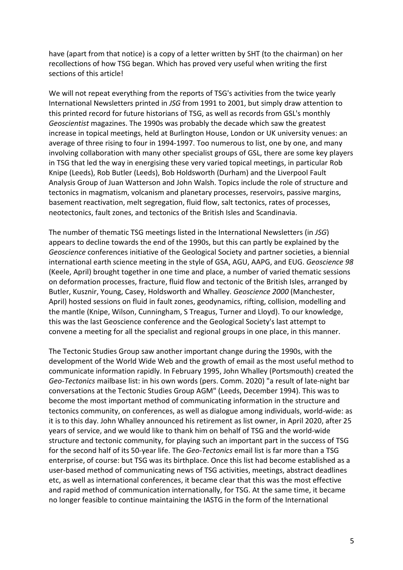have (apart from that notice) is a copy of a letter written by SHT (to the chairman) on her recollections of how TSG began. Which has proved very useful when writing the first sections of this article!

We will not repeat everything from the reports of TSG's activities from the twice yearly International Newsletters printed in *JSG* from 1991 to 2001, but simply draw attention to this printed record for future historians of TSG, as well as records from GSL's monthly *Geoscientist* magazines. The 1990s was probably the decade which saw the greatest increase in topical meetings, held at Burlington House, London or UK university venues: an average of three rising to four in 1994-1997. Too numerous to list, one by one, and many involving collaboration with many other specialist groups of GSL, there are some key players in TSG that led the way in energising these very varied topical meetings, in particular Rob Knipe (Leeds), Rob Butler (Leeds), Bob Holdsworth (Durham) and the Liverpool Fault Analysis Group of Juan Watterson and John Walsh. Topics include the role of structure and tectonics in magmatism, volcanism and planetary processes, reservoirs, passive margins, basement reactivation, melt segregation, fluid flow, salt tectonics, rates of processes, neotectonics, fault zones, and tectonics of the British Isles and Scandinavia.

The number of thematic TSG meetings listed in the International Newsletters (in *JSG*) appears to decline towards the end of the 1990s, but this can partly be explained by the *Geoscience* conferences initiative of the Geological Society and partner societies, a biennial international earth science meeting in the style of GSA, AGU, AAPG, and EUG. *Geoscience 98* (Keele, April) brought together in one time and place, a number of varied thematic sessions on deformation processes, fracture, fluid flow and tectonic of the British Isles, arranged by Butler, Kusznir, Young, Casey, Holdsworth and Whalley. *Geoscience 2000* (Manchester, April) hosted sessions on fluid in fault zones, geodynamics, rifting, collision, modelling and the mantle (Knipe, Wilson, Cunningham, S Treagus, Turner and Lloyd). To our knowledge, this was the last Geoscience conference and the Geological Society's last attempt to convene a meeting for all the specialist and regional groups in one place, in this manner.

The Tectonic Studies Group saw another important change during the 1990s, with the development of the World Wide Web and the growth of email as the most useful method to communicate information rapidly. In February 1995, John Whalley (Portsmouth) created the *Geo-Tectonics* mailbase list: in his own words (pers. Comm. 2020) "a result of late-night bar conversations at the Tectonic Studies Group AGM" (Leeds, December 1994). This was to become the most important method of communicating information in the structure and tectonics community, on conferences, as well as dialogue among individuals, world-wide: as it is to this day. John Whalley announced his retirement as list owner, in April 2020, after 25 years of service, and we would like to thank him on behalf of TSG and the world-wide structure and tectonic community, for playing such an important part in the success of TSG for the second half of its 50-year life. The *Geo-Tectonics* email list is far more than a TSG enterprise, of course: but TSG was its birthplace. Once this list had become established as a user-based method of communicating news of TSG activities, meetings, abstract deadlines etc, as well as international conferences, it became clear that this was the most effective and rapid method of communication internationally, for TSG. At the same time, it became no longer feasible to continue maintaining the IASTG in the form of the International